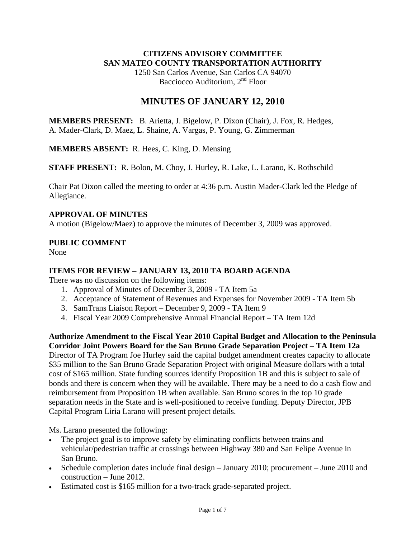## **CITIZENS ADVISORY COMMITTEE SAN MATEO COUNTY TRANSPORTATION AUTHORITY**

1250 San Carlos Avenue, San Carlos CA 94070 Bacciocco Auditorium, 2<sup>nd</sup> Floor

## **MINUTES OF JANUARY 12, 2010**

**MEMBERS PRESENT:** B. Arietta, J. Bigelow, P. Dixon (Chair), J. Fox, R. Hedges, A. Mader-Clark, D. Maez, L. Shaine, A. Vargas, P. Young, G. Zimmerman

**MEMBERS ABSENT:** R. Hees, C. King, D. Mensing

**STAFF PRESENT:** R. Bolon, M. Choy, J. Hurley, R. Lake, L. Larano, K. Rothschild

Chair Pat Dixon called the meeting to order at 4:36 p.m. Austin Mader-Clark led the Pledge of Allegiance.

## **APPROVAL OF MINUTES**

A motion (Bigelow/Maez) to approve the minutes of December 3, 2009 was approved.

## **PUBLIC COMMENT**

None

## **ITEMS FOR REVIEW – JANUARY 13, 2010 TA BOARD AGENDA**

There was no discussion on the following items:

- 1. Approval of Minutes of December 3, 2009 TA Item 5a
- 2. Acceptance of Statement of Revenues and Expenses for November 2009 TA Item 5b
- 3. SamTrans Liaison Report December 9, 2009 TA Item 9
- 4. Fiscal Year 2009 Comprehensive Annual Financial Report TA Item 12d

**Authorize Amendment to the Fiscal Year 2010 Capital Budget and Allocation to the Peninsula Corridor Joint Powers Board for the San Bruno Grade Separation Project – TA Item 12a**  Director of TA Program Joe Hurley said the capital budget amendment creates capacity to allocate \$35 million to the San Bruno Grade Separation Project with original Measure dollars with a total cost of \$165 million. State funding sources identify Proposition 1B and this is subject to sale of bonds and there is concern when they will be available. There may be a need to do a cash flow and reimbursement from Proposition 1B when available. San Bruno scores in the top 10 grade separation needs in the State and is well-positioned to receive funding. Deputy Director, JPB Capital Program Liria Larano will present project details.

Ms. Larano presented the following:

- The project goal is to improve safety by eliminating conflicts between trains and vehicular/pedestrian traffic at crossings between Highway 380 and San Felipe Avenue in San Bruno.
- Schedule completion dates include final design January 2010; procurement June 2010 and construction – June 2012.
- Estimated cost is \$165 million for a two-track grade-separated project.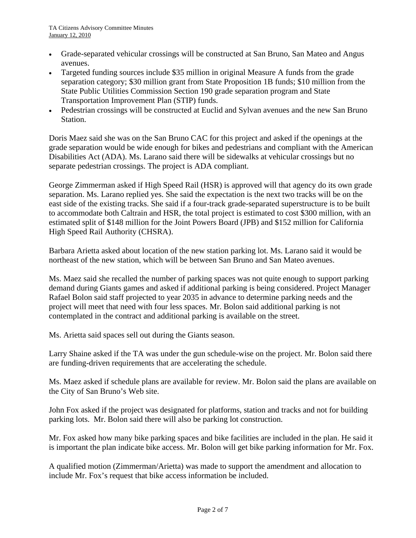- Grade-separated vehicular crossings will be constructed at San Bruno, San Mateo and Angus avenues.
- Targeted funding sources include \$35 million in original Measure A funds from the grade separation category; \$30 million grant from State Proposition 1B funds; \$10 million from the State Public Utilities Commission Section 190 grade separation program and State Transportation Improvement Plan (STIP) funds.
- Pedestrian crossings will be constructed at Euclid and Sylvan avenues and the new San Bruno Station.

Doris Maez said she was on the San Bruno CAC for this project and asked if the openings at the grade separation would be wide enough for bikes and pedestrians and compliant with the American Disabilities Act (ADA). Ms. Larano said there will be sidewalks at vehicular crossings but no separate pedestrian crossings. The project is ADA compliant.

George Zimmerman asked if High Speed Rail (HSR) is approved will that agency do its own grade separation. Ms. Larano replied yes. She said the expectation is the next two tracks will be on the east side of the existing tracks. She said if a four-track grade-separated superstructure is to be built to accommodate both Caltrain and HSR, the total project is estimated to cost \$300 million, with an estimated split of \$148 million for the Joint Powers Board (JPB) and \$152 million for California High Speed Rail Authority (CHSRA).

Barbara Arietta asked about location of the new station parking lot. Ms. Larano said it would be northeast of the new station, which will be between San Bruno and San Mateo avenues.

Ms. Maez said she recalled the number of parking spaces was not quite enough to support parking demand during Giants games and asked if additional parking is being considered. Project Manager Rafael Bolon said staff projected to year 2035 in advance to determine parking needs and the project will meet that need with four less spaces. Mr. Bolon said additional parking is not contemplated in the contract and additional parking is available on the street.

Ms. Arietta said spaces sell out during the Giants season.

Larry Shaine asked if the TA was under the gun schedule-wise on the project. Mr. Bolon said there are funding-driven requirements that are accelerating the schedule.

Ms. Maez asked if schedule plans are available for review. Mr. Bolon said the plans are available on the City of San Bruno's Web site.

John Fox asked if the project was designated for platforms, station and tracks and not for building parking lots. Mr. Bolon said there will also be parking lot construction.

Mr. Fox asked how many bike parking spaces and bike facilities are included in the plan. He said it is important the plan indicate bike access. Mr. Bolon will get bike parking information for Mr. Fox.

A qualified motion (Zimmerman/Arietta) was made to support the amendment and allocation to include Mr. Fox's request that bike access information be included.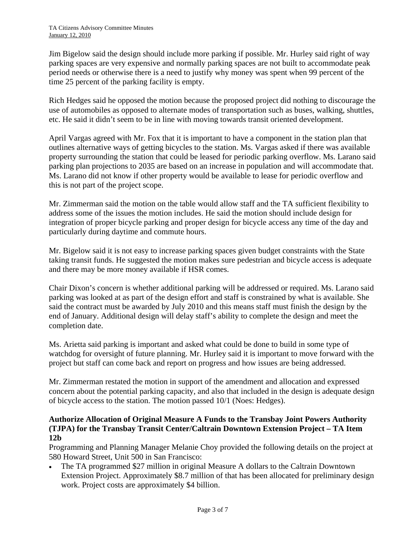Jim Bigelow said the design should include more parking if possible. Mr. Hurley said right of way parking spaces are very expensive and normally parking spaces are not built to accommodate peak period needs or otherwise there is a need to justify why money was spent when 99 percent of the time 25 percent of the parking facility is empty.

Rich Hedges said he opposed the motion because the proposed project did nothing to discourage the use of automobiles as opposed to alternate modes of transportation such as buses, walking, shuttles, etc. He said it didn't seem to be in line with moving towards transit oriented development.

April Vargas agreed with Mr. Fox that it is important to have a component in the station plan that outlines alternative ways of getting bicycles to the station. Ms. Vargas asked if there was available property surrounding the station that could be leased for periodic parking overflow. Ms. Larano said parking plan projections to 2035 are based on an increase in population and will accommodate that. Ms. Larano did not know if other property would be available to lease for periodic overflow and this is not part of the project scope.

Mr. Zimmerman said the motion on the table would allow staff and the TA sufficient flexibility to address some of the issues the motion includes. He said the motion should include design for integration of proper bicycle parking and proper design for bicycle access any time of the day and particularly during daytime and commute hours.

Mr. Bigelow said it is not easy to increase parking spaces given budget constraints with the State taking transit funds. He suggested the motion makes sure pedestrian and bicycle access is adequate and there may be more money available if HSR comes.

Chair Dixon's concern is whether additional parking will be addressed or required. Ms. Larano said parking was looked at as part of the design effort and staff is constrained by what is available. She said the contract must be awarded by July 2010 and this means staff must finish the design by the end of January. Additional design will delay staff's ability to complete the design and meet the completion date.

Ms. Arietta said parking is important and asked what could be done to build in some type of watchdog for oversight of future planning. Mr. Hurley said it is important to move forward with the project but staff can come back and report on progress and how issues are being addressed.

Mr. Zimmerman restated the motion in support of the amendment and allocation and expressed concern about the potential parking capacity, and also that included in the design is adequate design of bicycle access to the station. The motion passed 10/1 (Noes: Hedges).

## **Authorize Allocation of Original Measure A Funds to the Transbay Joint Powers Authority (TJPA) for the Transbay Transit Center/Caltrain Downtown Extension Project – TA Item 12b**

Programming and Planning Manager Melanie Choy provided the following details on the project at 580 Howard Street, Unit 500 in San Francisco:

• The TA programmed \$27 million in original Measure A dollars to the Caltrain Downtown Extension Project. Approximately \$8.7 million of that has been allocated for preliminary design work. Project costs are approximately \$4 billion.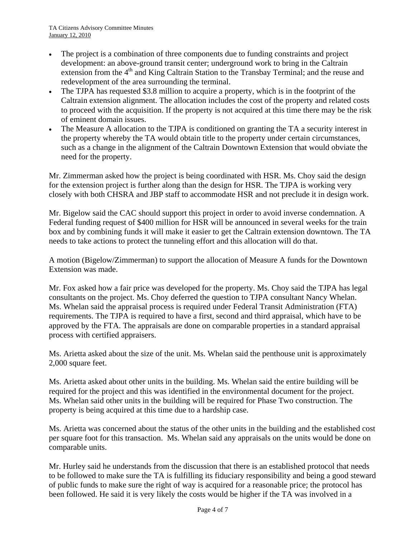- The project is a combination of three components due to funding constraints and project development: an above-ground transit center; underground work to bring in the Caltrain extension from the 4<sup>th</sup> and King Caltrain Station to the Transbay Terminal; and the reuse and redevelopment of the area surrounding the terminal.
- The TJPA has requested \$3.8 million to acquire a property, which is in the footprint of the Caltrain extension alignment. The allocation includes the cost of the property and related costs to proceed with the acquisition. If the property is not acquired at this time there may be the risk of eminent domain issues.
- The Measure A allocation to the TJPA is conditioned on granting the TA a security interest in the property whereby the TA would obtain title to the property under certain circumstances, such as a change in the alignment of the Caltrain Downtown Extension that would obviate the need for the property.

Mr. Zimmerman asked how the project is being coordinated with HSR. Ms. Choy said the design for the extension project is further along than the design for HSR. The TJPA is working very closely with both CHSRA and JBP staff to accommodate HSR and not preclude it in design work.

Mr. Bigelow said the CAC should support this project in order to avoid inverse condemnation. A Federal funding request of \$400 million for HSR will be announced in several weeks for the train box and by combining funds it will make it easier to get the Caltrain extension downtown. The TA needs to take actions to protect the tunneling effort and this allocation will do that.

A motion (Bigelow/Zimmerman) to support the allocation of Measure A funds for the Downtown Extension was made.

Mr. Fox asked how a fair price was developed for the property. Ms. Choy said the TJPA has legal consultants on the project. Ms. Choy deferred the question to TJPA consultant Nancy Whelan. Ms. Whelan said the appraisal process is required under Federal Transit Administration (FTA) requirements. The TJPA is required to have a first, second and third appraisal, which have to be approved by the FTA. The appraisals are done on comparable properties in a standard appraisal process with certified appraisers.

Ms. Arietta asked about the size of the unit. Ms. Whelan said the penthouse unit is approximately 2,000 square feet.

Ms. Arietta asked about other units in the building. Ms. Whelan said the entire building will be required for the project and this was identified in the environmental document for the project. Ms. Whelan said other units in the building will be required for Phase Two construction. The property is being acquired at this time due to a hardship case.

Ms. Arietta was concerned about the status of the other units in the building and the established cost per square foot for this transaction. Ms. Whelan said any appraisals on the units would be done on comparable units.

Mr. Hurley said he understands from the discussion that there is an established protocol that needs to be followed to make sure the TA is fulfilling its fiduciary responsibility and being a good steward of public funds to make sure the right of way is acquired for a reasonable price; the protocol has been followed. He said it is very likely the costs would be higher if the TA was involved in a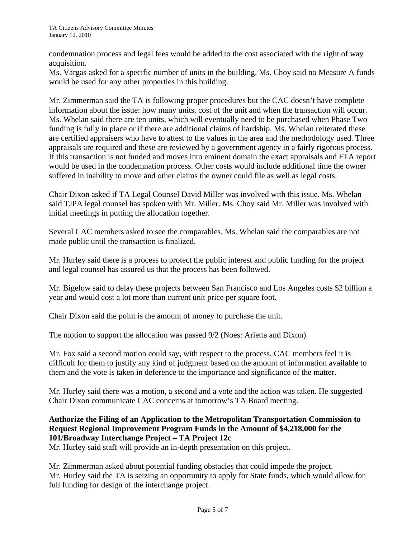condemnation process and legal fees would be added to the cost associated with the right of way acquisition.

Ms. Vargas asked for a specific number of units in the building. Ms. Choy said no Measure A funds would be used for any other properties in this building.

Mr. Zimmerman said the TA is following proper procedures but the CAC doesn't have complete information about the issue: how many units, cost of the unit and when the transaction will occur. Ms. Whelan said there are ten units, which will eventually need to be purchased when Phase Two funding is fully in place or if there are additional claims of hardship. Ms. Whelan reiterated these are certified appraisers who have to attest to the values in the area and the methodology used. Three appraisals are required and these are reviewed by a government agency in a fairly rigorous process. If this transaction is not funded and moves into eminent domain the exact appraisals and FTA report would be used in the condemnation process. Other costs would include additional time the owner suffered in inability to move and other claims the owner could file as well as legal costs.

Chair Dixon asked if TA Legal Counsel David Miller was involved with this issue. Ms. Whelan said TJPA legal counsel has spoken with Mr. Miller. Ms. Choy said Mr. Miller was involved with initial meetings in putting the allocation together.

Several CAC members asked to see the comparables. Ms. Whelan said the comparables are not made public until the transaction is finalized.

Mr. Hurley said there is a process to protect the public interest and public funding for the project and legal counsel has assured us that the process has been followed.

Mr. Bigelow said to delay these projects between San Francisco and Los Angeles costs \$2 billion a year and would cost a lot more than current unit price per square foot.

Chair Dixon said the point is the amount of money to purchase the unit.

The motion to support the allocation was passed 9/2 (Noes: Arietta and Dixon).

Mr. Fox said a second motion could say, with respect to the process, CAC members feel it is difficult for them to justify any kind of judgment based on the amount of information available to them and the vote is taken in deference to the importance and significance of the matter.

Mr. Hurley said there was a motion, a second and a vote and the action was taken. He suggested Chair Dixon communicate CAC concerns at tomorrow's TA Board meeting.

## **Authorize the Filing of an Application to the Metropolitan Transportation Commission to Request Regional Improvement Program Funds in the Amount of \$4,218,000 for the 101/Broadway Interchange Project – TA Project 12c**

Mr. Hurley said staff will provide an in-depth presentation on this project.

Mr. Zimmerman asked about potential funding obstacles that could impede the project. Mr. Hurley said the TA is seizing an opportunity to apply for State funds, which would allow for full funding for design of the interchange project.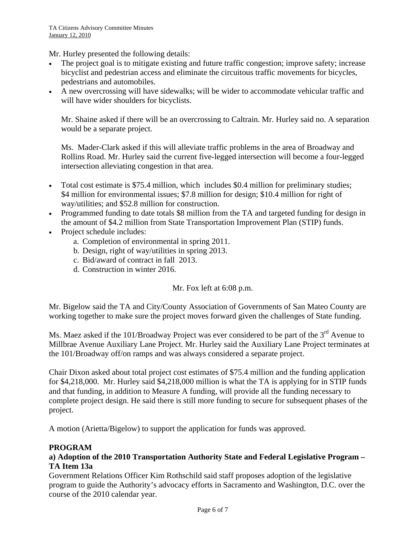Mr. Hurley presented the following details:

- The project goal is to mitigate existing and future traffic congestion; improve safety; increase bicyclist and pedestrian access and eliminate the circuitous traffic movements for bicycles, pedestrians and automobiles.
- A new overcrossing will have sidewalks; will be wider to accommodate vehicular traffic and will have wider shoulders for bicyclists.

Mr. Shaine asked if there will be an overcrossing to Caltrain. Mr. Hurley said no. A separation would be a separate project.

Ms. Mader-Clark asked if this will alleviate traffic problems in the area of Broadway and Rollins Road. Mr. Hurley said the current five-legged intersection will become a four-legged intersection alleviating congestion in that area.

- Total cost estimate is \$75.4 million, which includes \$0.4 million for preliminary studies; \$4 million for environmental issues; \$7.8 million for design; \$10.4 million for right of way/utilities; and \$52.8 million for construction.
- Programmed funding to date totals \$8 million from the TA and targeted funding for design in the amount of \$4.2 million from State Transportation Improvement Plan (STIP) funds.
- Project schedule includes:
	- a. Completion of environmental in spring 2011.
	- b. Design, right of way/utilities in spring 2013.
	- c. Bid/award of contract in fall 2013.
	- d. Construction in winter 2016.

Mr. Fox left at 6:08 p.m.

Mr. Bigelow said the TA and City/County Association of Governments of San Mateo County are working together to make sure the project moves forward given the challenges of State funding.

Ms. Maez asked if the 101/Broadway Project was ever considered to be part of the 3<sup>rd</sup> Avenue to Millbrae Avenue Auxiliary Lane Project. Mr. Hurley said the Auxiliary Lane Project terminates at the 101/Broadway off/on ramps and was always considered a separate project.

Chair Dixon asked about total project cost estimates of \$75.4 million and the funding application for \$4,218,000. Mr. Hurley said \$4,218,000 million is what the TA is applying for in STIP funds and that funding, in addition to Measure A funding, will provide all the funding necessary to complete project design. He said there is still more funding to secure for subsequent phases of the project.

A motion (Arietta/Bigelow) to support the application for funds was approved.

#### **PROGRAM**

#### **a) Adoption of the 2010 Transportation Authority State and Federal Legislative Program – TA Item 13a**

Government Relations Officer Kim Rothschild said staff proposes adoption of the legislative program to guide the Authority's advocacy efforts in Sacramento and Washington, D.C. over the course of the 2010 calendar year.